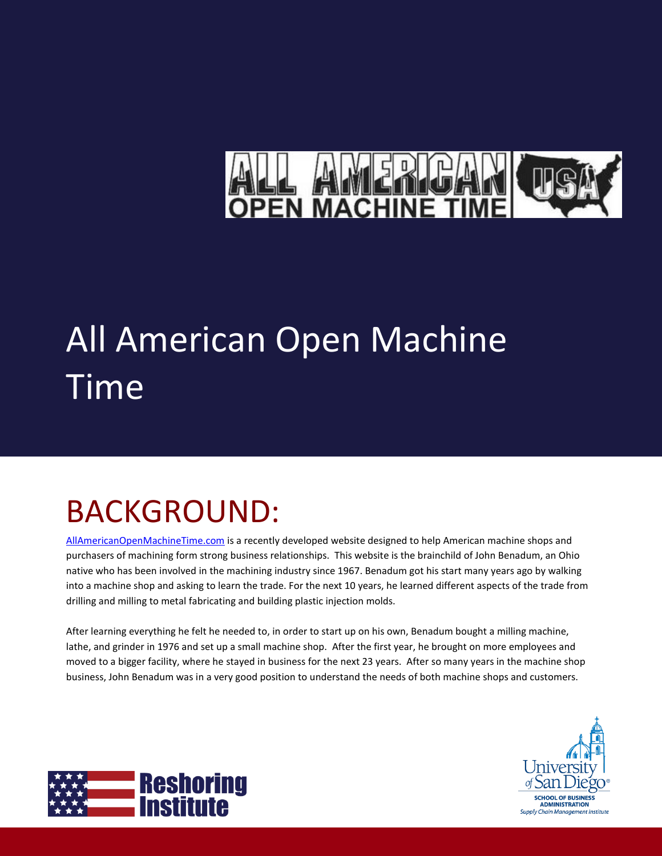# EN MA

# All American Open Machine Time

# BACKGROUND:

[AllAmericanOpenMachineTime.com](http://www.allamericanopenmachinetime.com/) is a recently developed website designed to help American machine shops and purchasers of machining form strong business relationships. This website is the brainchild of John Benadum, an Ohio native who has been involved in the machining industry since 1967. Benadum got his start many years ago by walking into a machine shop and asking to learn the trade. For the next 10 years, he learned different aspects of the trade from drilling and milling to metal fabricating and building plastic injection molds.

After learning everything he felt he needed to, in order to start up on his own, Benadum bought a milling machine, lathe, and grinder in 1976 and set up a small machine shop. After the first year, he brought on more employees and moved to a bigger facility, where he stayed in business for the next 23 years. After so many years in the machine shop business, John Benadum was in a very good position to understand the needs of both machine shops and customers.



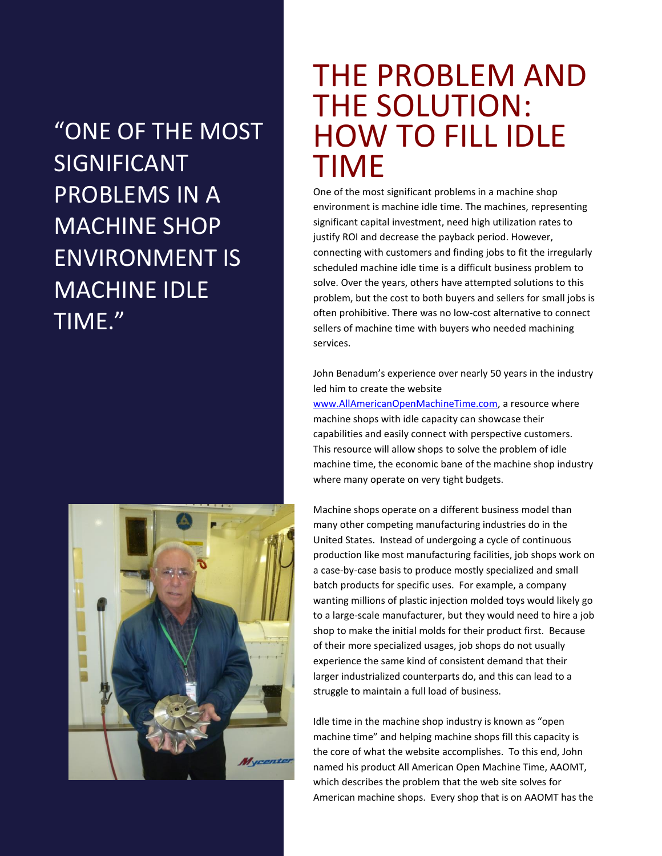"ONE OF THE MOST SIGNIFICANT PROBLEMS IN A MACHINE SHOP ENVIRONMENT IS MACHINE IDLE TIME."



#### THE PROBLEM AND THE SOLUTION: HOW TO FILL IDLE TIME

One of the most significant problems in a machine shop environment is machine idle time. The machines, representing significant capital investment, need high utilization rates to justify ROI and decrease the payback period. However, connecting with customers and finding jobs to fit the irregularly scheduled machine idle time is a difficult business problem to solve. Over the years, others have attempted solutions to this problem, but the cost to both buyers and sellers for small jobs is often prohibitive. There was no low-cost alternative to connect sellers of machine time with buyers who needed machining services.

John Benadum's experience over nearly 50 years in the industry led him to create the website

[www.AllAmericanOpenMachineTime.com,](http://www.allamericanopenmachinetime.com/) a resource where machine shops with idle capacity can showcase their capabilities and easily connect with perspective customers. This resource will allow shops to solve the problem of idle machine time, the economic bane of the machine shop industry where many operate on very tight budgets.

Machine shops operate on a different business model than many other competing manufacturing industries do in the United States. Instead of undergoing a cycle of continuous production like most manufacturing facilities, job shops work on a case-by-case basis to produce mostly specialized and small batch products for specific uses. For example, a company wanting millions of plastic injection molded toys would likely go to a large-scale manufacturer, but they would need to hire a job shop to make the initial molds for their product first. Because of their more specialized usages, job shops do not usually experience the same kind of consistent demand that their larger industrialized counterparts do, and this can lead to a struggle to maintain a full load of business.

Idle time in the machine shop industry is known as "open machine time" and helping machine shops fill this capacity is the core of what the website accomplishes. To this end, John named his product All American Open Machine Time, AAOMT, which describes the problem that the web site solves for American machine shops. Every shop that is on AAOMT has the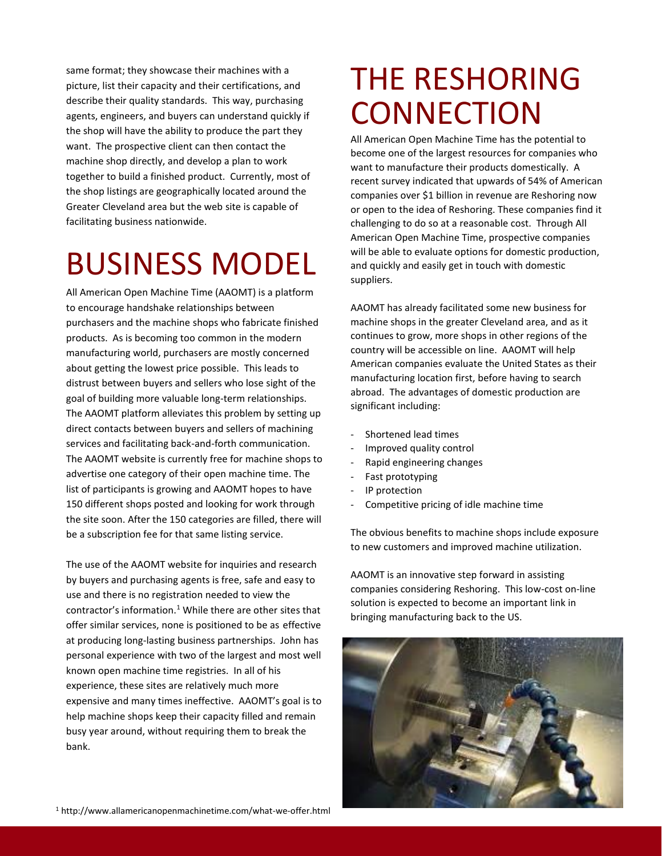same format; they showcase their machines with a picture, list their capacity and their certifications, and describe their quality standards. This way, purchasing agents, engineers, and buyers can understand quickly if the shop will have the ability to produce the part they want. The prospective client can then contact the machine shop directly, and develop a plan to work together to build a finished product. Currently, most of the shop listings are geographically located around the Greater Cleveland area but the web site is capable of facilitating business nationwide.

### BUSINESS MODEL

All American Open Machine Time (AAOMT) is a platform to encourage handshake relationships between purchasers and the machine shops who fabricate finished products. As is becoming too common in the modern manufacturing world, purchasers are mostly concerned about getting the lowest price possible. This leads to distrust between buyers and sellers who lose sight of the goal of building more valuable long-term relationships. The AAOMT platform alleviates this problem by setting up direct contacts between buyers and sellers of machining services and facilitating back-and-forth communication. The AAOMT website is currently free for machine shops to advertise one category of their open machine time. The list of participants is growing and AAOMT hopes to have 150 different shops posted and looking for work through the site soon. After the 150 categories are filled, there will be a subscription fee for that same listing service.

The use of the AAOMT website for inquiries and research by buyers and purchasing agents is free, safe and easy to use and there is no registration needed to view the contractor's information. $1$  While there are other sites that offer similar services, none is positioned to be as effective at producing long-lasting business partnerships. John has personal experience with two of the largest and most well known open machine time registries. In all of his experience, these sites are relatively much more expensive and many times ineffective. AAOMT's goal is to help machine shops keep their capacity filled and remain busy year around, without requiring them to break the bank.

#### THE RESHORING **CONNECTION**

All American Open Machine Time has the potential to become one of the largest resources for companies who want to manufacture their products domestically. A recent survey indicated that upwards of 54% of American companies over \$1 billion in revenue are Reshoring now or open to the idea of Reshoring. These companies find it challenging to do so at a reasonable cost. Through All American Open Machine Time, prospective companies will be able to evaluate options for domestic production, and quickly and easily get in touch with domestic suppliers.

AAOMT has already facilitated some new business for machine shops in the greater Cleveland area, and as it continues to grow, more shops in other regions of the country will be accessible on line. AAOMT will help American companies evaluate the United States as their manufacturing location first, before having to search abroad. The advantages of domestic production are significant including:

- Shortened lead times
- Improved quality control
- Rapid engineering changes
- Fast prototyping
- IP protection
- Competitive pricing of idle machine time

The obvious benefits to machine shops include exposure to new customers and improved machine utilization.

AAOMT is an innovative step forward in assisting companies considering Reshoring. This low-cost on-line solution is expected to become an important link in bringing manufacturing back to the US.